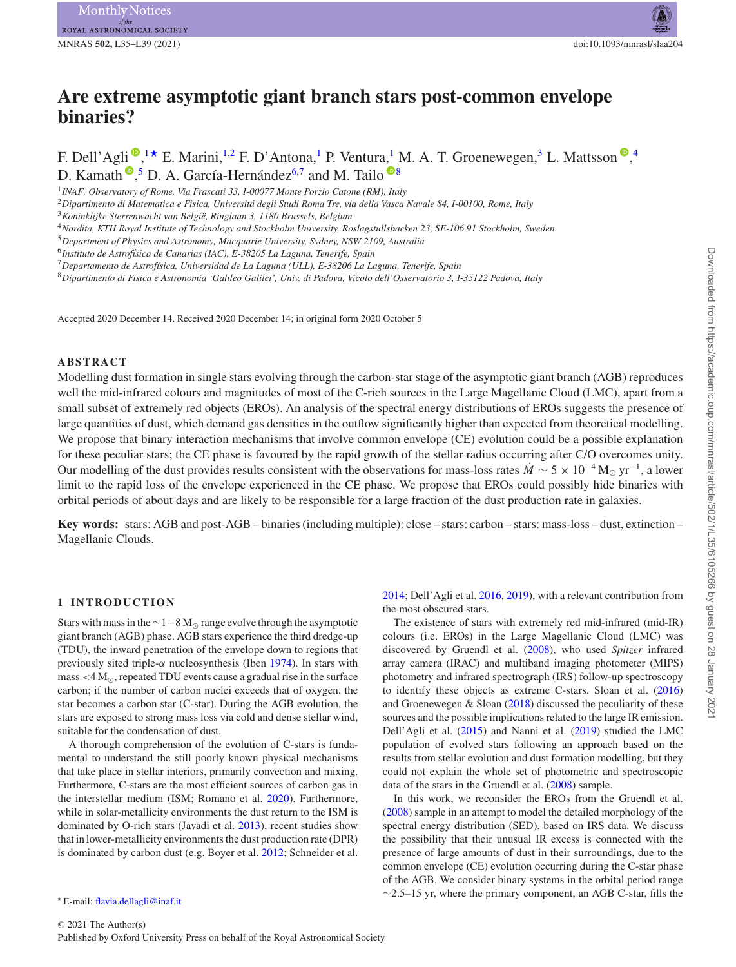# **Are extreme asymptotic giant branch stars post-common envelope binaries?**

F. Dell'Agli  $\bigcirc^{n}$ [,](http://orcid.org/0000-0003-2670-2513) [1](#page-0-0)  $\star$  E. Marini, <sup>1[,2](#page-0-2)</sup> F. D'Antona, <sup>1</sup> P. Ventura, <sup>1</sup> M. A. T. Groenewegen, <sup>[3](#page-0-3)</sup> L. Mattsson  $\bigcirc^{n}$ , <sup>[4](#page-0-4)</sup> D. Kamath <sup>®</sup>[,](http://orcid.org/0000-0001-8299-3402)<sup>[5](#page-0-5)</sup> D. A. García-Hernández<sup>[6](#page-0-6)[,7](#page-0-7)</sup> and M. Tailo <sup>®[8](#page-0-8)</sup>

<span id="page-0-0"></span><sup>1</sup>*INAF, Observatory of Rome, Via Frascati 33, I-00077 Monte Porzio Catone (RM), Italy*

<span id="page-0-2"></span><sup>2</sup>*Dipartimento di Matematica e Fisica, Universita degli Studi Roma Tre, via della Vasca Navale 84, I-00100, Rome, Italy ´*

<span id="page-0-3"></span><sup>3</sup>*Koninklijke Sterrenwacht van Belgie, Ringlaan 3, 1180 Brussels, Belgium ¨*

<span id="page-0-4"></span><sup>4</sup>*Nordita, KTH Royal Institute of Technology and Stockholm University, Roslagstullsbacken 23, SE-106 91 Stockholm, Sweden*

<span id="page-0-5"></span><sup>5</sup>*Department of Physics and Astronomy, Macquarie University, Sydney, NSW 2109, Australia*

<span id="page-0-6"></span><sup>6</sup>*Instituto de Astrof´ısica de Canarias (IAC), E-38205 La Laguna, Tenerife, Spain*

<span id="page-0-7"></span><sup>7</sup>*Departamento de Astrof´ısica, Universidad de La Laguna (ULL), E-38206 La Laguna, Tenerife, Spain*

<span id="page-0-8"></span><sup>8</sup>*Dipartimento di Fisica e Astronomia 'Galileo Galilei', Univ. di Padova, Vicolo dell'Osservatorio 3, I-35122 Padova, Italy*

Accepted 2020 December 14. Received 2020 December 14; in original form 2020 October 5

# **ABSTRACT**

Modelling dust formation in single stars evolving through the carbon-star stage of the asymptotic giant branch (AGB) reproduces well the mid-infrared colours and magnitudes of most of the C-rich sources in the Large Magellanic Cloud (LMC), apart from a small subset of extremely red objects (EROs). An analysis of the spectral energy distributions of EROs suggests the presence of large quantities of dust, which demand gas densities in the outflow significantly higher than expected from theoretical modelling. We propose that binary interaction mechanisms that involve common envelope (CE) evolution could be a possible explanation for these peculiar stars; the CE phase is favoured by the rapid growth of the stellar radius occurring after C/O overcomes unity. Our modelling of the dust provides results consistent with the observations for mass-loss rates  $\dot{M} \sim 5 \times 10^{-4}$  M<sub>o</sub> yr<sup>-1</sup>, a lower limit to the rapid loss of the envelope experienced in the CE phase. We propose that EROs could possibly hide binaries with orbital periods of about days and are likely to be responsible for a large fraction of the dust production rate in galaxies.

**Key words:** stars: AGB and post-AGB – binaries (including multiple): close – stars: carbon – stars: mass-loss – dust, extinction – Magellanic Clouds.

### **1 INTRODUCTION**

Stars with mass in the  $\sim$ 1–8 M<sub>☉</sub> range evolve through the asymptotic giant branch (AGB) phase. AGB stars experience the third dredge-up (TDU), the inward penetration of the envelope down to regions that previously sited triple-*α* nucleosynthesis (Iben [1974\)](#page-4-0). In stars with mass  $\lt 4 M_{\odot}$ , repeated TDU events cause a gradual rise in the surface carbon; if the number of carbon nuclei exceeds that of oxygen, the star becomes a carbon star (C-star). During the AGB evolution, the stars are exposed to strong mass loss via cold and dense stellar wind, suitable for the condensation of dust.

A thorough comprehension of the evolution of C-stars is fundamental to understand the still poorly known physical mechanisms that take place in stellar interiors, primarily convection and mixing. Furthermore, C-stars are the most efficient sources of carbon gas in the interstellar medium (ISM; Romano et al. [2020\)](#page-4-1). Furthermore, while in solar-metallicity environments the dust return to the ISM is dominated by O-rich stars (Javadi et al. [2013\)](#page-4-2), recent studies show that in lower-metallicity environments the dust production rate (DPR) is dominated by carbon dust (e.g. Boyer et al. [2012;](#page-4-3) Schneider et al.

[2014;](#page-4-4) Dell'Agli et al. [2016,](#page-4-5) [2019\)](#page-4-6), with a relevant contribution from the most obscured stars.

The existence of stars with extremely red mid-infrared (mid-IR) colours (i.e. EROs) in the Large Magellanic Cloud (LMC) was discovered by Gruendl et al. [\(2008\)](#page-4-7), who used *Spitzer* infrared array camera (IRAC) and multiband imaging photometer (MIPS) photometry and infrared spectrograph (IRS) follow-up spectroscopy to identify these objects as extreme C-stars. Sloan et al. [\(2016\)](#page-4-8) and Groenewegen & Sloan [\(2018\)](#page-4-9) discussed the peculiarity of these sources and the possible implications related to the large IR emission. Dell'Agli et al. [\(2015\)](#page-4-10) and Nanni et al. [\(2019\)](#page-4-11) studied the LMC population of evolved stars following an approach based on the results from stellar evolution and dust formation modelling, but they could not explain the whole set of photometric and spectroscopic data of the stars in the Gruendl et al. [\(2008\)](#page-4-7) sample.

In this work, we reconsider the EROs from the Gruendl et al. [\(2008\)](#page-4-7) sample in an attempt to model the detailed morphology of the spectral energy distribution (SED), based on IRS data. We discuss the possibility that their unusual IR excess is connected with the presence of large amounts of dust in their surroundings, due to the common envelope (CE) evolution occurring during the C-star phase of the AGB. We consider binary systems in the orbital period range  $\sim$ 2.5–15 yr, where the primary component, an AGB C-star, fills the

<span id="page-0-1"></span>E-mail: [flavia.dellagli@inaf.it](mailto:flavia.dellagli@inaf.it)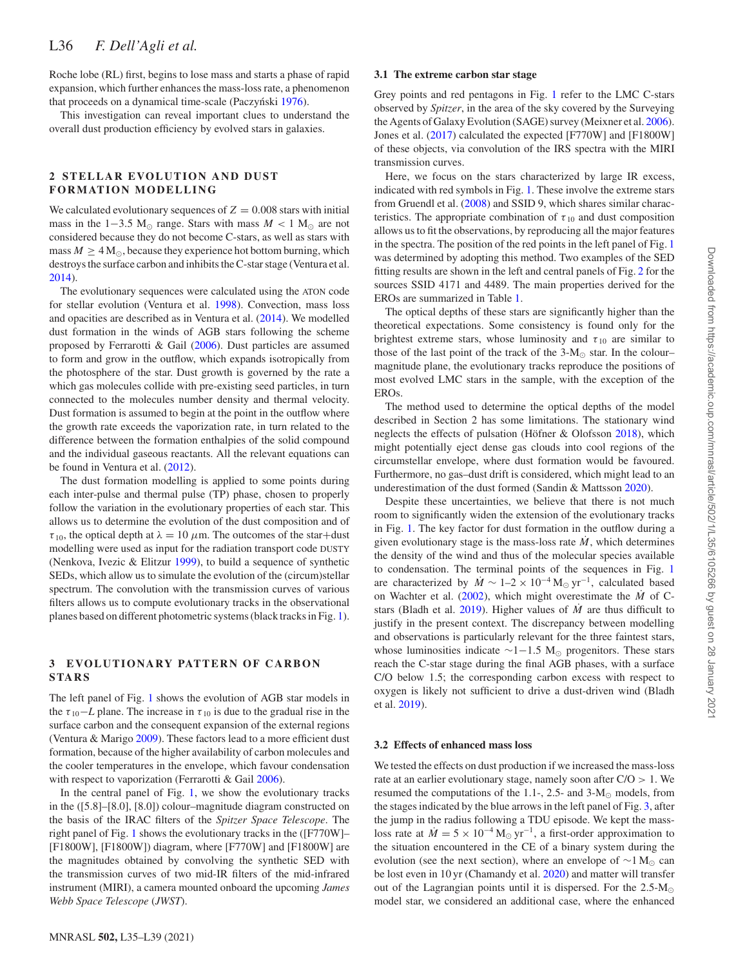Roche lobe (RL) first, begins to lose mass and starts a phase of rapid expansion, which further enhances the mass-loss rate, a phenomenon that proceeds on a dynamical time-scale (Paczyński [1976\)](#page-4-12).

This investigation can reveal important clues to understand the overall dust production efficiency by evolved stars in galaxies.

## **2 STELLAR EVOLUTION AND DUST FORMATION MODELLING**

We calculated evolutionary sequences of  $Z = 0.008$  stars with initial mass in the 1–3.5 M<sub>o</sub> range. Stars with mass  $M < 1$  M<sub>o</sub> are not considered because they do not become C-stars, as well as stars with mass  $M > 4 M_{\odot}$ , because they experience hot bottom burning, which destroys the surface carbon and inhibits the C-star stage (Ventura et al. [2014\)](#page-4-13).

The evolutionary sequences were calculated using the ATON code for stellar evolution (Ventura et al. [1998\)](#page-4-14). Convection, mass loss and opacities are described as in Ventura et al. [\(2014\)](#page-4-13). We modelled dust formation in the winds of AGB stars following the scheme proposed by Ferrarotti & Gail [\(2006\)](#page-4-15). Dust particles are assumed to form and grow in the outflow, which expands isotropically from the photosphere of the star. Dust growth is governed by the rate a which gas molecules collide with pre-existing seed particles, in turn connected to the molecules number density and thermal velocity. Dust formation is assumed to begin at the point in the outflow where the growth rate exceeds the vaporization rate, in turn related to the difference between the formation enthalpies of the solid compound and the individual gaseous reactants. All the relevant equations can be found in Ventura et al. [\(2012\)](#page-4-16).

The dust formation modelling is applied to some points during each inter-pulse and thermal pulse (TP) phase, chosen to properly follow the variation in the evolutionary properties of each star. This allows us to determine the evolution of the dust composition and of  $\tau_{10}$ , the optical depth at  $\lambda = 10 \ \mu \text{m}$ . The outcomes of the star+dust modelling were used as input for the radiation transport code DUSTY (Nenkova, Ivezic & Elitzur [1999\)](#page-4-17), to build a sequence of synthetic SEDs, which allow us to simulate the evolution of the (circum)stellar spectrum. The convolution with the transmission curves of various filters allows us to compute evolutionary tracks in the observational planes based on different photometric systems (black tracks in Fig. [1\)](#page-2-0).

# **3 EVOLUTIONARY PATTERN OF CARBON STARS**

The left panel of Fig. [1](#page-2-0) shows the evolution of AGB star models in the  $\tau_{10}$ −*L* plane. The increase in  $\tau_{10}$  is due to the gradual rise in the surface carbon and the consequent expansion of the external regions (Ventura & Marigo [2009\)](#page-4-18). These factors lead to a more efficient dust formation, because of the higher availability of carbon molecules and the cooler temperatures in the envelope, which favour condensation with respect to vaporization (Ferrarotti & Gail [2006\)](#page-4-15).

In the central panel of Fig. [1,](#page-2-0) we show the evolutionary tracks in the ([5.8]–[8.0], [8.0]) colour–magnitude diagram constructed on the basis of the IRAC filters of the *Spitzer Space Telescope*. The right panel of Fig. [1](#page-2-0) shows the evolutionary tracks in the ([F770W]– [F1800W], [F1800W]) diagram, where [F770W] and [F1800W] are the magnitudes obtained by convolving the synthetic SED with the transmission curves of two mid-IR filters of the mid-infrared instrument (MIRI), a camera mounted onboard the upcoming *James Webb Space Telescope* (*JWST*).

## **3.1 The extreme carbon star stage**

Grey points and red pentagons in Fig. [1](#page-2-0) refer to the LMC C-stars observed by *Spitzer*, in the area of the sky covered by the Surveying the Agents of Galaxy Evolution (SAGE) survey (Meixner et al. [2006\)](#page-4-19). Jones et al. [\(2017\)](#page-4-20) calculated the expected [F770W] and [F1800W] of these objects, via convolution of the IRS spectra with the MIRI transmission curves.

Here, we focus on the stars characterized by large IR excess, indicated with red symbols in Fig. [1.](#page-2-0) These involve the extreme stars from Gruendl et al. [\(2008\)](#page-4-7) and SSID 9, which shares similar characteristics. The appropriate combination of  $\tau_{10}$  and dust composition allows us to fit the observations, by reproducing all the major features in the spectra. The position of the red points in the left panel of Fig. [1](#page-2-0) was determined by adopting this method. Two examples of the SED fitting results are shown in the left and central panels of Fig. [2](#page-2-1) for the sources SSID 4171 and 4489. The main properties derived for the EROs are summarized in Table [1.](#page-2-2)

The optical depths of these stars are significantly higher than the theoretical expectations. Some consistency is found only for the brightest extreme stars, whose luminosity and  $\tau_{10}$  are similar to those of the last point of the track of the  $3-M_{\odot}$  star. In the colour– magnitude plane, the evolutionary tracks reproduce the positions of most evolved LMC stars in the sample, with the exception of the EROs.

The method used to determine the optical depths of the model described in Section 2 has some limitations. The stationary wind neglects the effects of pulsation (Höfner  $&$  Olofsson [2018\)](#page-4-21), which might potentially eject dense gas clouds into cool regions of the circumstellar envelope, where dust formation would be favoured. Furthermore, no gas–dust drift is considered, which might lead to an underestimation of the dust formed (Sandin & Mattsson [2020\)](#page-4-22).

Despite these uncertainties, we believe that there is not much room to significantly widen the extension of the evolutionary tracks in Fig. [1.](#page-2-0) The key factor for dust formation in the outflow during a given evolutionary stage is the mass-loss rate  $\dot{M}$ , which determines the density of the wind and thus of the molecular species available to condensation. The terminal points of the sequences in Fig. [1](#page-2-0) are characterized by  $\dot{M} \sim 1-2 \times 10^{-4} M_{\odot} \text{ yr}^{-1}$ , calculated based on Wachter et al. [\(2002\)](#page-4-23), which might overestimate the *M*˙ of C-stars (Bladh et al. [2019\)](#page-4-24). Higher values of  $\dot{M}$  are thus difficult to justify in the present context. The discrepancy between modelling and observations is particularly relevant for the three faintest stars, whose luminosities indicate  $\sim$ 1–1.5 M<sub>o</sub> progenitors. These stars reach the C-star stage during the final AGB phases, with a surface C/O below 1.5; the corresponding carbon excess with respect to oxygen is likely not sufficient to drive a dust-driven wind (Bladh et al. [2019\)](#page-4-24).

#### **3.2 Effects of enhanced mass loss**

We tested the effects on dust production if we increased the mass-loss rate at an earlier evolutionary stage, namely soon after C/O *>* 1. We resumed the computations of the 1.1-, 2.5- and 3- $M_{\odot}$  models, from the stages indicated by the blue arrows in the left panel of Fig. [3,](#page-3-0) after the jump in the radius following a TDU episode. We kept the massloss rate at  $\dot{M} = 5 \times 10^{-4} M_{\odot} \text{ yr}^{-1}$ , a first-order approximation to the situation encountered in the CE of a binary system during the evolution (see the next section), where an envelope of  $\sim$ 1 M<sub>☉</sub> can be lost even in 10 yr (Chamandy et al. [2020\)](#page-4-25) and matter will transfer out of the Lagrangian points until it is dispersed. For the  $2.5 \text{-} M_{\odot}$ model star, we considered an additional case, where the enhanced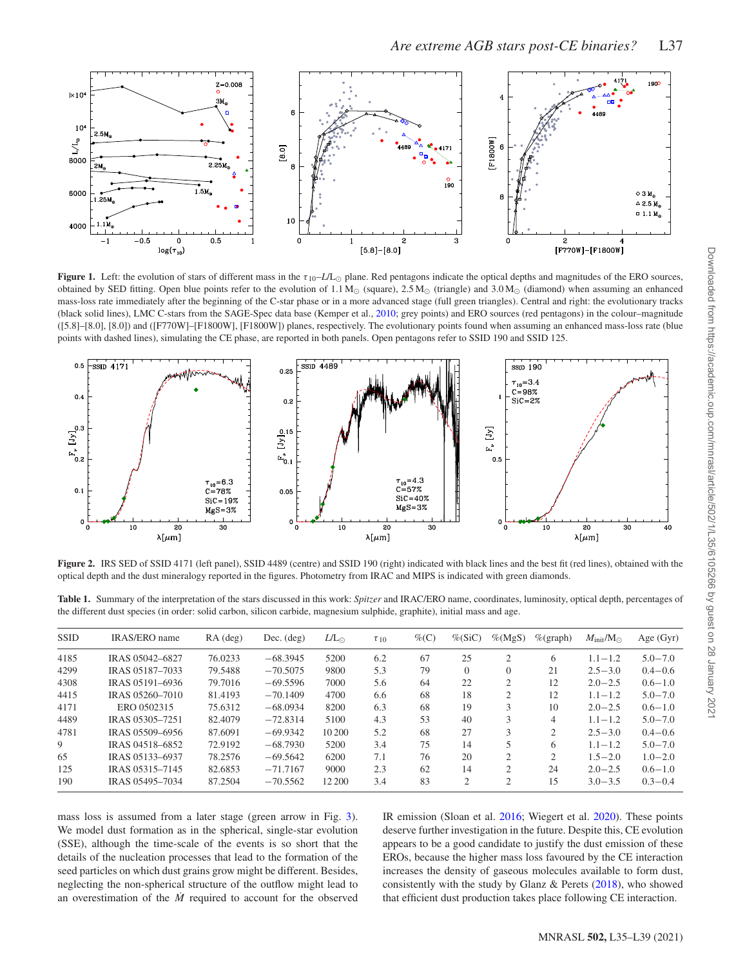<span id="page-2-0"></span>

**Figure 1.** Left: the evolution of stars of different mass in the  $\tau_{10}$ –*L*/L<sub>O</sub> plane. Red pentagons indicate the optical depths and magnitudes of the ERO sources, obtained by SED fitting. Open blue points refer to the evolution of 1.1 M<sub>\o</sub> (square), 2.5 M<sub>\o</sub> (triangle) and 3.0 M<sub>\o</sub> (diamond) when assuming an enhanced mass-loss rate immediately after the beginning of the C-star phase or in a more advanced stage (full green triangles). Central and right: the evolutionary tracks (black solid lines), LMC C-stars from the SAGE-Spec data base (Kemper et al., [2010;](#page-4-24) grey points) and ERO sources (red pentagons) in the colour–magnitude ([5.8]–[8.0], [8.0]) and ([F770W]–[F1800W], [F1800W]) planes, respectively. The evolutionary points found when assuming an enhanced mass-loss rate (blue points with dashed lines), simulating the CE phase, are reported in both panels. Open pentagons refer to SSID 190 and SSID 125.

<span id="page-2-1"></span>

Figure 2. IRS SED of SSID 4171 (left panel), SSID 4489 (centre) and SSID 190 (right) indicated with black lines and the best fit (red lines), obtained with the optical depth and the dust mineralogy reported in the figures. Photometry from IRAC and MIPS is indicated with green diamonds.

<span id="page-2-2"></span>**Table 1.** Summary of the interpretation of the stars discussed in this work: *Spitzer* and IRAC/ERO name, coordinates, luminosity, optical depth, percentages of the different dust species (in order: solid carbon, silicon carbide, magnesium sulphide, graphite), initial mass and age.

| <b>SSID</b> | <b>IRAS/ERO</b> name | $RA$ (deg) | $Dec.$ (deg) | $L/L_{\odot}$ | $\tau_{10}$ | $\%$ (C) | $\%$ (SiC)     | $\%$ (MgS)     | $\%$ (graph) | $M_{\rm init}/M_{\odot}$ | Age $(Gyr)$ |
|-------------|----------------------|------------|--------------|---------------|-------------|----------|----------------|----------------|--------------|--------------------------|-------------|
| 4185        | IRAS 05042-6827      | 76.0233    | $-68.3945$   | 5200          | 6.2         | 67       | 25             |                | 6            | $1.1 - 1.2$              | $5.0 - 7.0$ |
| 4299        | IRAS 05187-7033      | 79.5488    | $-70.5075$   | 9800          | 5.3         | 79       | $\Omega$       | 0              | 21           | $2.5 - 3.0$              | $0.4 - 0.6$ |
| 4308        | IRAS 05191-6936      | 79.7016    | $-69.5596$   | 7000          | 5.6         | 64       | 22             | 2              | 12           | $2.0 - 2.5$              | $0.6 - 1.0$ |
| 4415        | IRAS 05260-7010      | 81.4193    | $-70.1409$   | 4700          | 6.6         | 68       | 18             | 2              | 12           | $1.1 - 1.2$              | $5.0 - 7.0$ |
| 4171        | ERO 0502315          | 75.6312    | $-68,0934$   | 8200          | 6.3         | 68       | 19             | 3              | 10           | $2.0 - 2.5$              | $0.6 - 1.0$ |
| 4489        | IRAS 05305-7251      | 82.4079    | $-72.8314$   | 5100          | 4.3         | 53       | 40             | 3              | 4            | $1.1 - 1.2$              | $5.0 - 7.0$ |
| 4781        | IRAS 05509-6956      | 87.6091    | $-69.9342$   | 10 200        | 5.2         | 68       | 27             | 3              | $\bigcap$    | $2.5 - 3.0$              | $0.4 - 0.6$ |
| 9           | IRAS 04518-6852      | 72.9192    | $-68.7930$   | 5200          | 3.4         | 75       | 14             |                | 6            | $1.1 - 1.2$              | $5.0 - 7.0$ |
| 65          | IRAS 05133-6937      | 78.2576    | $-69.5642$   | 6200          | 7.1         | 76       | 20             | $\mathfrak{D}$ | $\bigcap$    | $1.5 - 2.0$              | $1.0 - 2.0$ |
| 125         | IRAS 05315-7145      | 82.6853    | $-71.7167$   | 9000          | 2.3         | 62       | 14             | 2              | 24           | $2.0 - 2.5$              | $0.6 - 1.0$ |
| 190         | IRAS 05495-7034      | 87.2504    | $-70.5562$   | 12 200        | 3.4         | 83       | $\mathfrak{D}$ | $\mathfrak{D}$ | 15           | $3.0 - 3.5$              | $0.3 - 0.4$ |

mass loss is assumed from a later stage (green arrow in Fig. [3\)](#page-3-0). We model dust formation as in the spherical, single-star evolution (SSE), although the time-scale of the events is so short that the details of the nucleation processes that lead to the formation of the seed particles on which dust grains grow might be different. Besides, neglecting the non-spherical structure of the outflow might lead to an overestimation of the  $\dot{M}$  required to account for the observed IR emission (Sloan et al. [2016;](#page-4-8) Wiegert et al. [2020\)](#page-4-26). These points deserve further investigation in the future. Despite this, CE evolution appears to be a good candidate to justify the dust emission of these EROs, because the higher mass loss favoured by the CE interaction increases the density of gaseous molecules available to form dust, consistently with the study by Glanz & Perets  $(2018)$ , who showed that efficient dust production takes place following CE interaction.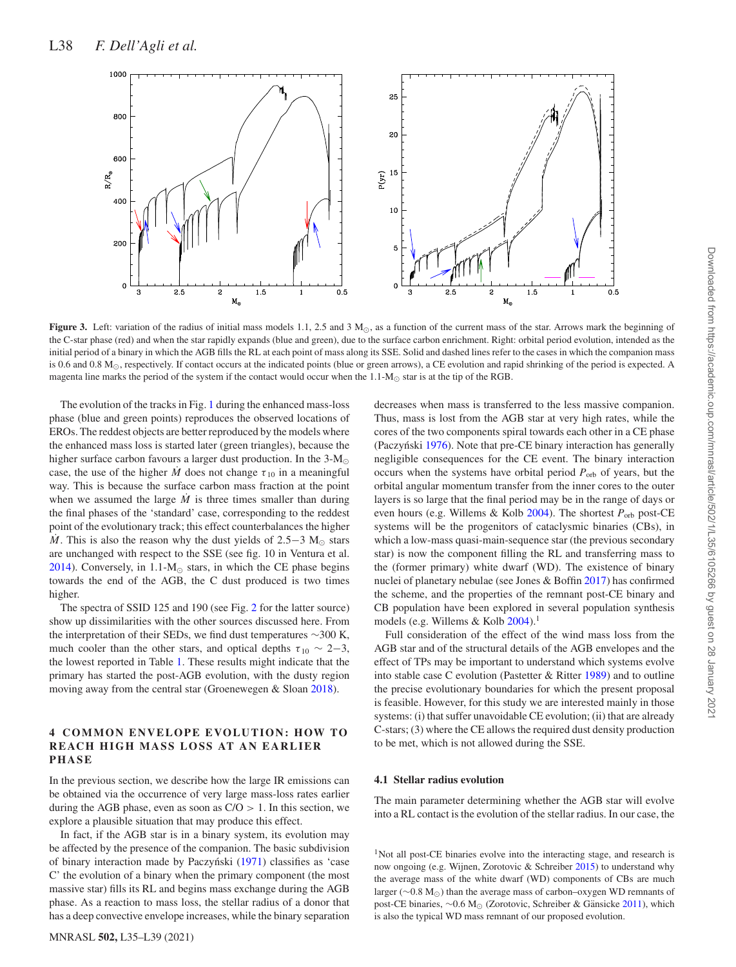<span id="page-3-0"></span>

**Figure 3.** Left: variation of the radius of initial mass models 1.1, 2.5 and 3  $M_{\odot}$ , as a function of the current mass of the star. Arrows mark the beginning of the C-star phase (red) and when the star rapidly expands (blue and green), due to the surface carbon enrichment. Right: orbital period evolution, intended as the initial period of a binary in which the AGB fills the RL at each point of mass along its SSE. Solid and dashed lines refer to the cases in which the companion mass is 0.6 and 0.8  $M<sub>o</sub>$ , respectively. If contact occurs at the indicated points (blue or green arrows), a CE evolution and rapid shrinking of the period is expected. A magenta line marks the period of the system if the contact would occur when the  $1.1 \text{-} M_{\odot}$  star is at the tip of the RGB.

The evolution of the tracks in Fig. [1](#page-2-0) during the enhanced mass-loss phase (blue and green points) reproduces the observed locations of EROs. The reddest objects are better reproduced by the models where the enhanced mass loss is started later (green triangles), because the higher surface carbon favours a larger dust production. In the  $3-M_{\odot}$ case, the use of the higher *M* does not change  $\tau_{10}$  in a meaningful way. This is because the surface carbon mass fraction at the point when we assumed the large  $\dot{M}$  is three times smaller than during the final phases of the 'standard' case, corresponding to the reddest point of the evolutionary track; this effect counterbalances the higher *M*. This is also the reason why the dust yields of 2.5−3 M<sub> $\odot$ </sub> stars are unchanged with respect to the SSE (see fig. 10 in Ventura et al. [2014\)](#page-4-13). Conversely, in  $1.1-M_{\odot}$  stars, in which the CE phase begins towards the end of the AGB, the C dust produced is two times higher.

The spectra of SSID 125 and 190 (see Fig. [2](#page-2-1) for the latter source) show up dissimilarities with the other sources discussed here. From the interpretation of their SEDs, we find dust temperatures ∼300 K, much cooler than the other stars, and optical depths  $\tau_{10} \sim 2-3$ , the lowest reported in Table [1.](#page-2-2) These results might indicate that the primary has started the post-AGB evolution, with the dusty region moving away from the central star (Groenewegen & Sloan [2018\)](#page-4-9).

## **4 COMMON ENVELOPE EVOLUTION: HOW TO REACH HIGH MASS LOSS AT AN EARLIER PHASE**

In the previous section, we describe how the large IR emissions can be obtained via the occurrence of very large mass-loss rates earlier during the AGB phase, even as soon as C/O *>* 1. In this section, we explore a plausible situation that may produce this effect.

In fact, if the AGB star is in a binary system, its evolution may be affected by the presence of the companion. The basic subdivision of binary interaction made by Paczyński ([1971\)](#page-4-28) classifies as 'case C' the evolution of a binary when the primary component (the most massive star) fills its RL and begins mass exchange during the AGB phase. As a reaction to mass loss, the stellar radius of a donor that has a deep convective envelope increases, while the binary separation

MNRASL **502,** L35–L39 (2021)

decreases when mass is transferred to the less massive companion. Thus, mass is lost from the AGB star at very high rates, while the cores of the two components spiral towards each other in a CE phase (Paczyński [1976\)](#page-4-12). Note that pre-CE binary interaction has generally negligible consequences for the CE event. The binary interaction occurs when the systems have orbital period  $P_{\text{orb}}$  of years, but the orbital angular momentum transfer from the inner cores to the outer layers is so large that the final period may be in the range of days or even hours (e.g. Willems & Kolb [2004\)](#page-4-29). The shortest *P*orb post-CE systems will be the progenitors of cataclysmic binaries (CBs), in which a low-mass quasi-main-sequence star (the previous secondary star) is now the component filling the RL and transferring mass to the (former primary) white dwarf (WD). The existence of binary nuclei of planetary nebulae (see Jones & Boffin [2017\)](#page-4-30) has confirmed the scheme, and the properties of the remnant post-CE binary and CB population have been explored in several population synthesis models (e.g. Willems & Kolb  $2004$ ).<sup>1</sup>

Full consideration of the effect of the wind mass loss from the AGB star and of the structural details of the AGB envelopes and the effect of TPs may be important to understand which systems evolve into stable case C evolution (Pastetter & Ritter [1989\)](#page-4-31) and to outline the precise evolutionary boundaries for which the present proposal is feasible. However, for this study we are interested mainly in those systems: (i) that suffer unavoidable CE evolution; (ii) that are already C-stars; (3) where the CE allows the required dust density production to be met, which is not allowed during the SSE.

### **4.1 Stellar radius evolution**

The main parameter determining whether the AGB star will evolve into a RL contact is the evolution of the stellar radius. In our case, the

<sup>1</sup>Not all post-CE binaries evolve into the interacting stage, and research is now ongoing (e.g. Wijnen, Zorotovic & Schreiber [2015\)](#page-4-32) to understand why the average mass of the white dwarf (WD) components of CBs are much larger (∼0.8 M<sub>☉</sub>) than the average mass of carbon–oxygen WD remnants of post-CE binaries, ~0.6 M<sub>☉</sub> (Zorotovic, Schreiber & Gänsicke [2011\)](#page-4-33), which is also the typical WD mass remnant of our proposed evolution.